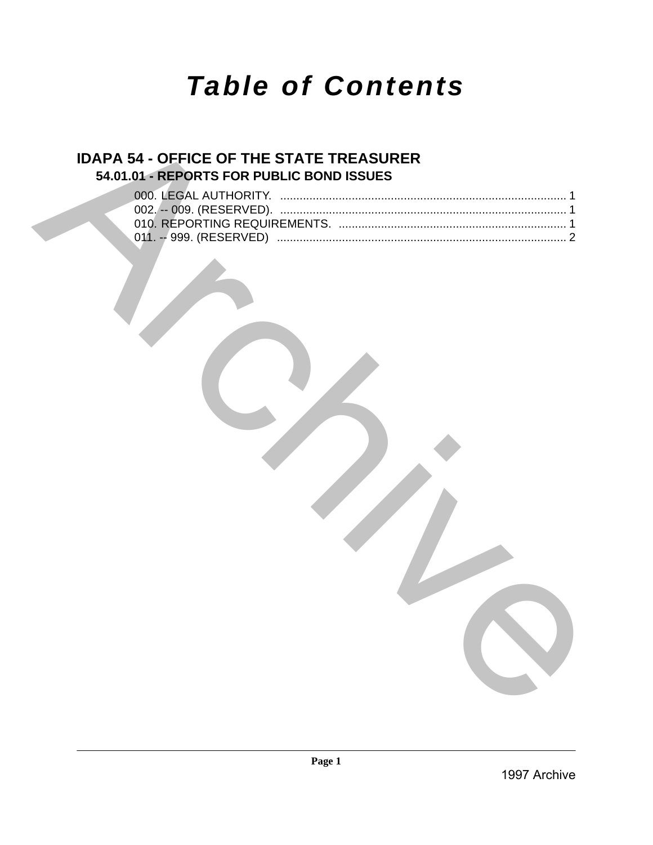# *Table of Contents*

## **IDAPA 54 - OFFICE OF THE STATE TREASURER 54.01.01 - REPORTS FOR PUBLIC BOND ISSUES**

|  | <b>IDAPA 54 - OEFICE OF THE STATE TREASURER</b> |        |              |
|--|-------------------------------------------------|--------|--------------|
|  | 54.01.01 - REPORTS FOR PUBLIC BOND ISSUES       |        |              |
|  |                                                 |        |              |
|  |                                                 |        |              |
|  |                                                 |        |              |
|  |                                                 |        |              |
|  |                                                 |        |              |
|  |                                                 |        |              |
|  |                                                 |        |              |
|  |                                                 |        |              |
|  |                                                 |        |              |
|  |                                                 |        |              |
|  |                                                 |        |              |
|  |                                                 |        |              |
|  |                                                 |        |              |
|  |                                                 |        |              |
|  |                                                 |        |              |
|  |                                                 |        |              |
|  |                                                 |        |              |
|  |                                                 |        |              |
|  |                                                 |        |              |
|  |                                                 |        |              |
|  |                                                 |        |              |
|  |                                                 |        |              |
|  |                                                 |        |              |
|  |                                                 |        |              |
|  |                                                 |        |              |
|  |                                                 |        |              |
|  |                                                 |        |              |
|  |                                                 |        |              |
|  |                                                 |        |              |
|  |                                                 |        |              |
|  |                                                 |        |              |
|  |                                                 |        |              |
|  |                                                 |        |              |
|  |                                                 | Page 1 |              |
|  |                                                 |        | 1997 Archive |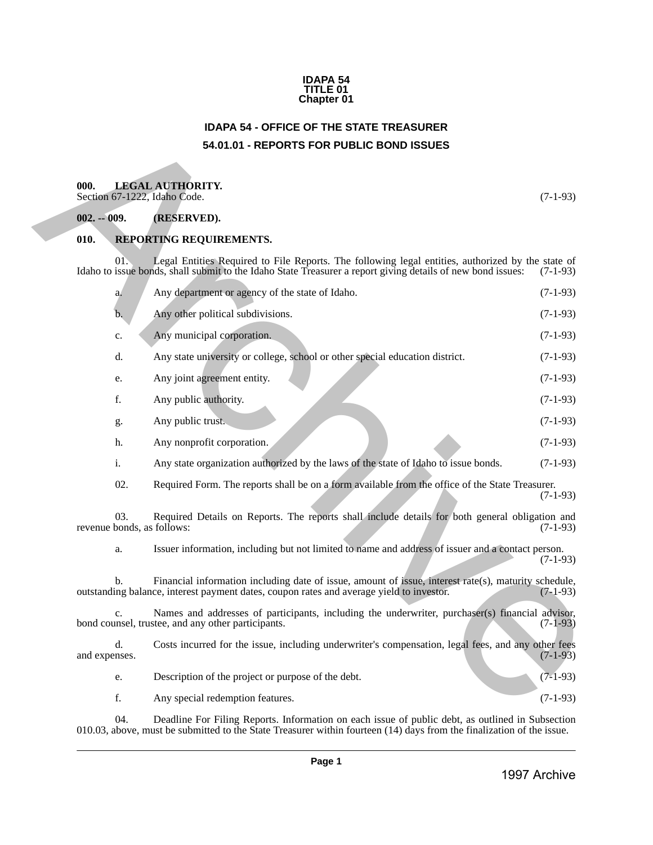#### **IDAPA 54 TITLE 01 Chapter 01**

## **IDAPA 54 - OFFICE OF THE STATE TREASURER 54.01.01 - REPORTS FOR PUBLIC BOND ISSUES**

## <span id="page-1-2"></span><span id="page-1-1"></span>**000. LEGAL AUTHORITY.**

### <span id="page-1-3"></span>**002. -- 009. (RESERVED).**

#### <span id="page-1-4"></span>**010. REPORTING REQUIREMENTS.**

<span id="page-1-0"></span>

| 000.          |                     | <b>LEGAL AUTHORITY.</b><br>Section 67-1222, Idaho Code.                                                                                                                                                                   | $(7-1-93)$ |
|---------------|---------------------|---------------------------------------------------------------------------------------------------------------------------------------------------------------------------------------------------------------------------|------------|
| $002. - 009.$ |                     | (RESERVED).                                                                                                                                                                                                               |            |
| 010.          |                     | REPORTING REQUIREMENTS.                                                                                                                                                                                                   |            |
|               | 01.                 | Legal Entities Required to File Reports. The following legal entities, authorized by the state of<br>Idaho to issue bonds, shall submit to the Idaho State Treasurer a report giving details of new bond issues:          | $(7-1-93)$ |
|               | a.                  | Any department or agency of the state of Idaho.                                                                                                                                                                           | $(7-1-93)$ |
|               | b.                  | Any other political subdivisions.                                                                                                                                                                                         | $(7-1-93)$ |
|               | c.                  | Any municipal corporation.                                                                                                                                                                                                | $(7-1-93)$ |
|               | d.                  | Any state university or college, school or other special education district.                                                                                                                                              | $(7-1-93)$ |
|               | e.                  | Any joint agreement entity.                                                                                                                                                                                               | $(7-1-93)$ |
|               | f.                  | Any public authority.                                                                                                                                                                                                     | $(7-1-93)$ |
|               | g.                  | Any public trust.                                                                                                                                                                                                         | $(7-1-93)$ |
|               | h.                  | Any nonprofit corporation.                                                                                                                                                                                                | $(7-1-93)$ |
|               | i.                  | Any state organization authorized by the laws of the state of Idaho to issue bonds.                                                                                                                                       | $(7-1-93)$ |
|               | 02.                 | Required Form. The reports shall be on a form available from the office of the State Treasurer.                                                                                                                           | $(7-1-93)$ |
|               | 03.                 | Required Details on Reports. The reports shall include details for both general obligation and<br>revenue bonds, as follows:                                                                                              | $(7-1-93)$ |
|               | a.                  | Issuer information, including but not limited to name and address of issuer and a contact person.                                                                                                                         | $(7-1-93)$ |
|               | b.                  | Financial information including date of issue, amount of issue, interest rate(s), maturity schedule,<br>outstanding balance, interest payment dates, coupon rates and average yield to investor.                          | $(7-1-93)$ |
|               | c.                  | Names and addresses of participants, including the underwriter, purchaser(s) financial advisor,<br>bond counsel, trustee, and any other participants.                                                                     | $(7-1-93)$ |
|               | d.<br>and expenses. | Costs incurred for the issue, including underwriter's compensation, legal fees, and any other fees                                                                                                                        | $(7-1-93)$ |
|               | e.                  | Description of the project or purpose of the debt.                                                                                                                                                                        | $(7-1-93)$ |
|               | f.                  | Any special redemption features.                                                                                                                                                                                          | $(7-1-93)$ |
|               | 04.                 | Deadline For Filing Reports. Information on each issue of public debt, as outlined in Subsection<br>010.03, above, must be submitted to the State Treasurer within fourteen (14) days from the finalization of the issue. |            |